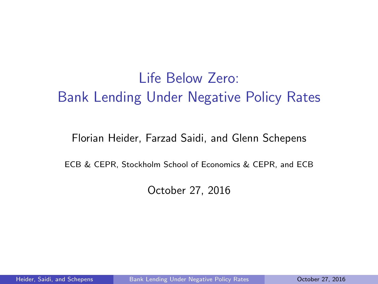<span id="page-0-0"></span>Life Below Zero: Bank Lending Under Negative Policy Rates

Florian Heider, Farzad Saidi, and Glenn Schepens

ECB & CEPR, Stockholm School of Economics & CEPR, and ECB

October 27, 2016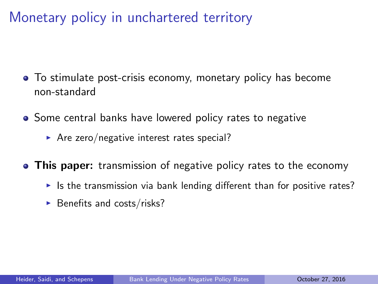Monetary policy in unchartered territory

- To stimulate post-crisis economy, monetary policy has become non-standard
- Some central banks have lowered policy rates to negative
	- Are zero/negative interest rates special?
- This paper: transmission of negative policy rates to the economy
	- If Its the transmission via bank lending different than for positive rates?
	- $\blacktriangleright$  Benefits and costs/risks?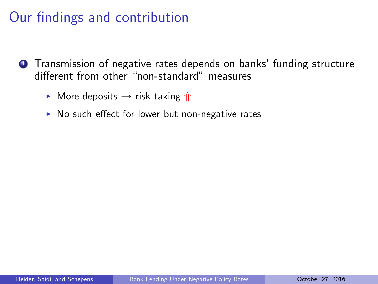# Our findings and contribution

- $\bullet$  Transmission of negative rates depends on banks' funding structure  $$ different from other "non-standard" measures
	- $\triangleright$  More deposits  $\rightarrow$  risk taking  $\Uparrow$
	- $\triangleright$  No such effect for lower but non-negative rates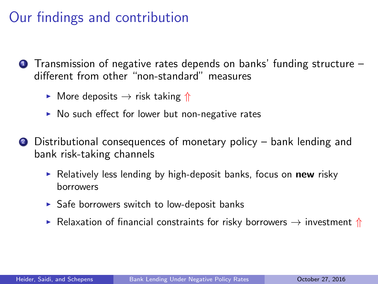# Our findings and contribution

- $\bullet$  Transmission of negative rates depends on banks' funding structure  $$ different from other "non-standard" measures
	- $\triangleright$  More deposits  $\rightarrow$  risk taking  $\Uparrow$
	- $\triangleright$  No such effect for lower but non-negative rates
- <sup>2</sup> Distributional consequences of monetary policy bank lending and bank risk-taking channels
	- Relatively less lending by high-deposit banks, focus on **new** risky borrowers
	- $\triangleright$  Safe borrowers switch to low-deposit banks
	- **EXECUTE:** Relaxation of financial constraints for risky borrowers  $\rightarrow$  investment  $\Uparrow$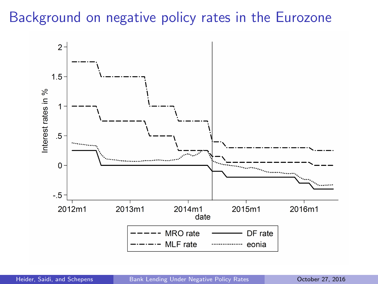### Background on negative policy rates in the Eurozone

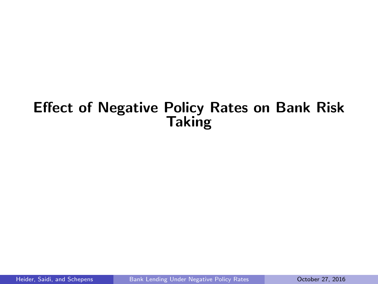### Effect of Negative Policy Rates on Bank Risk **Taking**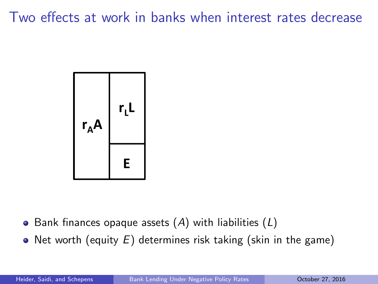Two effects at work in banks when interest rates decrease



- Bank finances opaque assets  $(A)$  with liabilities  $(L)$
- Net worth (equity  $E$ ) determines risk taking (skin in the game)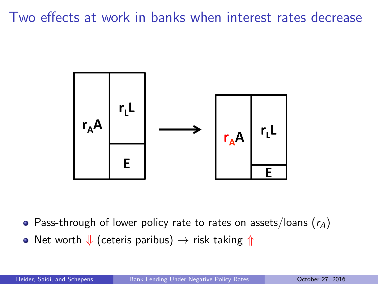Two effects at work in banks when interest rates decrease



• Pass-through of lower policy rate to rates on assets/loans  $(r_A)$ 

• Net worth  $\Downarrow$  (ceteris paribus)  $\rightarrow$  risk taking  $\Uparrow$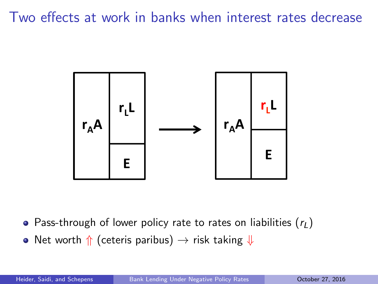Two effects at work in banks when interest rates decrease



• Pass-through of lower policy rate to rates on liabilities  $(r_L)$ 

• Net worth  $\Uparrow$  (ceteris paribus)  $\rightarrow$  risk taking  $\Downarrow$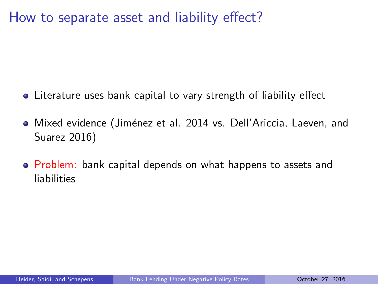How to separate asset and liability effect?

- Literature uses bank capital to vary strength of liability effect
- **•** Mixed evidence (Jiménez et al. 2014 vs. Dell'Ariccia, Laeven, and Suarez 2016)
- **Problem:** bank capital depends on what happens to assets and liabilities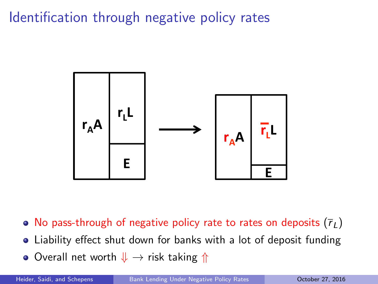Identification through negative policy rates



- No pass-through of negative policy rate to rates on deposits  $(\bar{r}_L)$
- Liability effect shut down for banks with a lot of deposit funding
- Overall net worth  $\downarrow \rightarrow$  risk taking  $\Uparrow$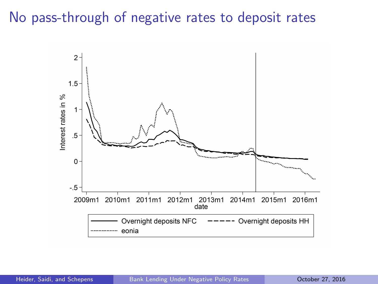### No pass-through of negative rates to deposit rates

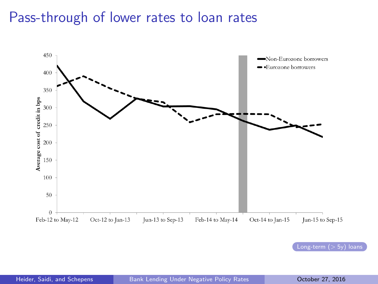### Pass-through of lower rates to loan rates

<span id="page-12-0"></span>

Long-term  $($  > 5y) loans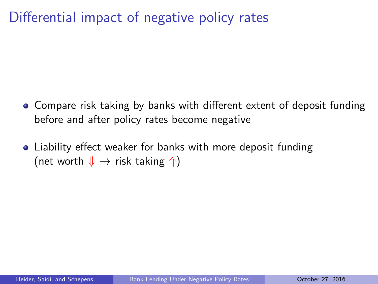### Differential impact of negative policy rates

- Compare risk taking by banks with different extent of deposit funding before and after policy rates become negative
- Liability effect weaker for banks with more deposit funding (net worth  $\downarrow \rightarrow$  risk taking  $\Uparrow$ )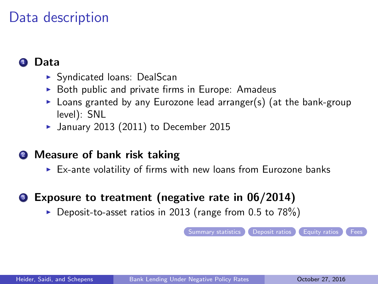### Data description

### <span id="page-14-0"></span>**1** Data

- $\triangleright$  Syndicated loans: DealScan
- $\triangleright$  Both public and private firms in Europe: Amadeus
- $\triangleright$  Loans granted by any Eurozone lead arranger(s) (at the bank-group level): SNL
- $\blacktriangleright$  January 2013 (2011) to December 2015
- **2** Measure of bank risk taking
	- $\triangleright$  Ex-ante volatility of firms with new loans from Eurozone banks

### **3** Exposure to treatment (negative rate in 06/2014)

 $\triangleright$  Deposit-to-asset ratios in 2013 (range from 0.5 to 78%)

[Summary statistics](#page-35-0) C [Deposit ratios](#page-37-0) C [Equity ratios](#page-38-0) C [Fees](#page-39-0)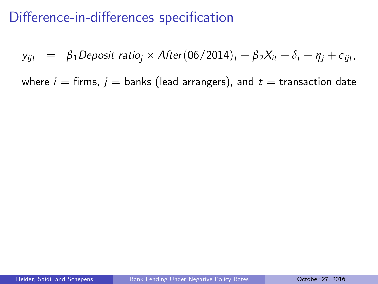$y_{ijt} = \beta_1$ Deposit ratio<sub>i</sub> × After(06/2014)<sub>t</sub> +  $\beta_2 X_{it} + \delta_t + \eta_i + \epsilon_{iit}$ 

where  $i =$  firms,  $j =$  banks (lead arrangers), and  $t =$  transaction date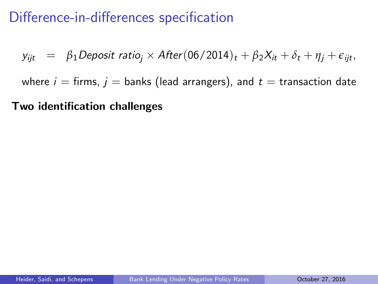$$
y_{ijt} = \beta_1 \text{Deposit ratio}_j \times \text{After} (06/2014)_t + \beta_2 X_{it} + \delta_t + \eta_j + \epsilon_{ijt},
$$

where  $i =$  firms,  $j =$  banks (lead arrangers), and  $t =$  transaction date

#### Two identification challenges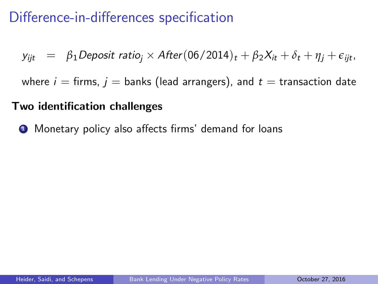$$
y_{ijt} = \beta_1 \text{Deposit ratio}_j \times \text{After} (06/2014)_t + \beta_2 X_{it} + \delta_t + \eta_j + \epsilon_{ijt},
$$

where  $i =$  firms,  $j =$  banks (lead arrangers), and  $t =$  transaction date

#### Two identification challenges

**1** Monetary policy also affects firms' demand for loans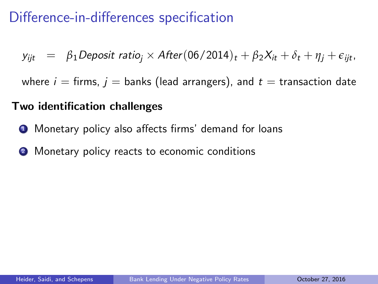$$
y_{ijt} = \beta_1 \text{Deposit ratio}_j \times \text{After} (06/2014)_t + \beta_2 X_{it} + \delta_t + \eta_j + \epsilon_{ijt},
$$

where  $i =$  firms,  $j =$  banks (lead arrangers), and  $t =$  transaction date

#### Two identification challenges

- **1** Monetary policy also affects firms' demand for loans
- **2** Monetary policy reacts to economic conditions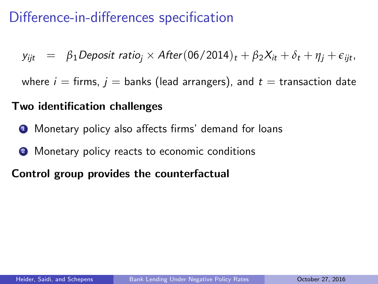$$
y_{ijt} = \beta_1 \text{Deposit ratio}_j \times \text{After} (06/2014)_t + \beta_2 X_{it} + \delta_t + \eta_j + \epsilon_{ijt},
$$

where  $i =$  firms,  $j =$  banks (lead arrangers), and  $t =$  transaction date

#### Two identification challenges

- **1** Monetary policy also affects firms' demand for loans
- **2** Monetary policy reacts to economic conditions

### Control group provides the counterfactual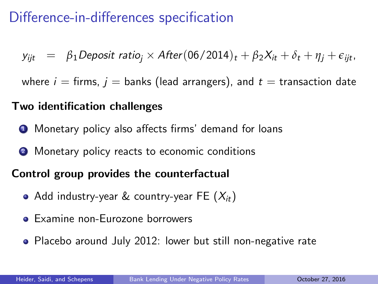$y_{ijt} = \beta_1$ Deposit ratio<sub>i</sub> × After(06/2014)<sub>t</sub> +  $\beta_2 X_{it} + \delta_t + \eta_i + \epsilon_{iit}$ 

where  $i =$  firms,  $j =$  banks (lead arrangers), and  $t =$  transaction date

### Two identification challenges

- **1** Monetary policy also affects firms' demand for loans
- **2** Monetary policy reacts to economic conditions

### Control group provides the counterfactual

- Add industry-year & country-year FE  $(X_{it})$
- **•** Examine non-Eurozone borrowers
- Placebo around July 2012: lower but still non-negative rate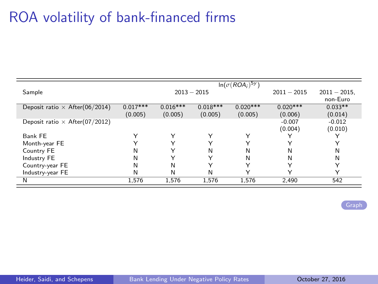## ROA volatility of bank-financed firms

<span id="page-21-0"></span>

|                                       |            |               |              | $\ln(\sigma(ROA_i)^{5y})$ |               |                 |
|---------------------------------------|------------|---------------|--------------|---------------------------|---------------|-----------------|
| Sample                                |            | $2013 - 2015$ |              |                           | $2011 - 2015$ | $2011 - 2015$ . |
|                                       |            |               |              |                           |               | non-Euro        |
| Deposit ratio $\times$ After(06/2014) | $0.017***$ | $0.016***$    | $0.018***$   | $0.020***$                | $0.020***$    | $0.033**$       |
|                                       | (0.005)    | (0.005)       | (0.005)      | (0.005)                   | (0.006)       | (0.014)         |
| Deposit ratio $\times$ After(07/2012) |            |               |              |                           | $-0.007$      | $-0.012$        |
|                                       |            |               |              |                           | (0.004)       | (0.010)         |
| Bank FE                               |            | Υ             | Υ            | Y                         |               |                 |
| Month-year FE                         |            | $\checkmark$  | ◡            | ⋎                         |               | v               |
| Country FE                            | N          |               | N            | N                         | N             | Ν               |
| Industry FE                           | N          |               | $\checkmark$ | N                         | N             | N               |
| Country-year FE                       | N          | N             | ⋎            | Y                         |               | Υ               |
| Industry-year FE                      | N          | N             | Ν            | $\check{ }$               | v             | $\check{ }$     |
| N                                     | 1,576      | 1,576         | 1,576        | 1,576                     | 2,490         | 542             |

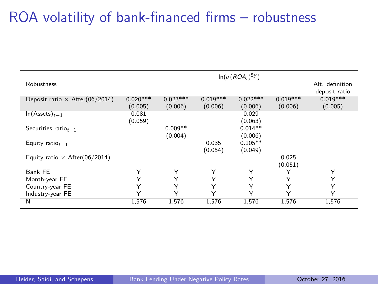# ROA volatility of bank-financed firms – robustness

|                                       |                       |                       |                       | $\ln(\sigma(ROA_i)^{5y})$ |                       |                                  |
|---------------------------------------|-----------------------|-----------------------|-----------------------|---------------------------|-----------------------|----------------------------------|
| Robustness                            |                       |                       |                       |                           |                       | Alt. definition<br>deposit ratio |
| Deposit ratio $\times$ After(06/2014) | $0.020***$<br>(0.005) | $0.023***$<br>(0.006) | $0.019***$<br>(0.006) | $0.022***$<br>(0.006)     | $0.019***$<br>(0.006) | $0.019***$<br>(0.005)            |
| $ln(A{\text{ssets}})_{t-1}$           | 0.081<br>(0.059)      |                       |                       | 0.029<br>(0.063)          |                       |                                  |
| Securities ratio $_{t-1}$             |                       | $0.009**$<br>(0.004)  |                       | $0.014**$<br>(0.006)      |                       |                                  |
| Equity ratio $t_{-1}$                 |                       |                       | 0.035<br>(0.054)      | $0.105**$<br>(0.049)      |                       |                                  |
| Equity ratio $\times$ After(06/2014)  |                       |                       |                       |                           | 0.025<br>(0.051)      |                                  |
| Bank FE                               | Υ                     | Υ                     | Υ                     | Υ                         | Υ                     | Υ                                |
| Month-year FE                         | Υ                     | Υ                     | Υ                     | Υ                         | Υ                     | Y                                |
| Country-year FE                       | Υ                     | Υ                     | Υ                     | Υ                         | Υ                     | Υ                                |
| Industry-year FE                      | Υ                     | Υ                     | ٧                     | Υ                         | Υ                     | Υ                                |
| $\overline{\mathsf{N}}$               | 1,576                 | 1,576                 | 1,576                 | 1,576                     | 1,576                 | 1,576                            |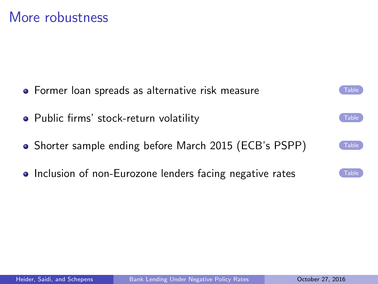More robustness

- <span id="page-23-0"></span>**•** Former loan spreads as alternative risk measure
- $\bullet$  Public firms' stock-return volatility  $\bullet$  [Table](#page-43-0)
- Shorter sample ending before March 2015 (ECB's PSPP)
- Inclusion of non-Eurozone lenders facing negative rates

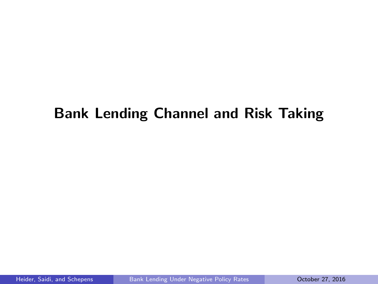## Bank Lending Channel and Risk Taking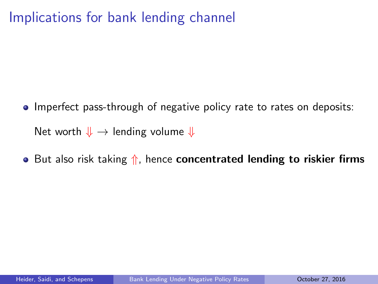# Implications for bank lending channel

- **Imperfect pass-through of negative policy rate to rates on deposits:** Net worth  $\Downarrow \rightarrow$  lending volume  $\Downarrow$
- But also risk taking  $\Uparrow$ , hence **concentrated lending to riskier firms**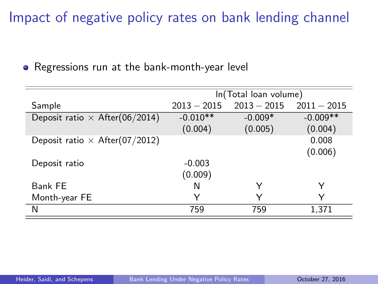# Impact of negative policy rates on bank lending channel

• Regressions run at the bank-month-year level

|                                       | In(Total Ioan volume) |                      |                       |  |  |  |  |
|---------------------------------------|-----------------------|----------------------|-----------------------|--|--|--|--|
| Sample                                | $2013 - 2015$         | $2013 - 2015$        | $2011 - 2015$         |  |  |  |  |
| Deposit ratio $\times$ After(06/2014) | $-0.010**$<br>(0.004) | $-0.009*$<br>(0.005) | $-0.009**$<br>(0.004) |  |  |  |  |
| Deposit ratio $\times$ After(07/2012) |                       |                      | 0.008<br>(0.006)      |  |  |  |  |
| Deposit ratio                         | $-0.003$<br>(0.009)   |                      |                       |  |  |  |  |
| Bank FE                               | N                     |                      | Y                     |  |  |  |  |
| Month-year FE                         | Y                     | $\checkmark$         | ∨                     |  |  |  |  |
| N                                     | 759                   | 759                  | 1,371                 |  |  |  |  |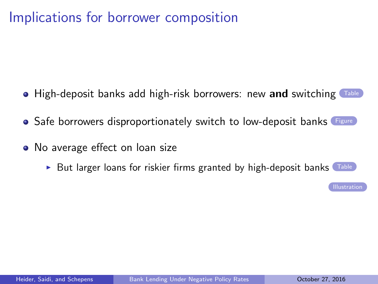### Implications for borrower composition

- <span id="page-27-0"></span> $\bullet$  High-deposit banks add high-risk borrowers: new and switching  $\sigma$
- Safe borrowers disproportionately switch to low-deposit banks [Figure](#page-49-0)
- No average effect on loan size
	- In But larger loans for riskier firms granted by high-deposit banks  $\Gamma^{\text{table}}$

**[Illustration](#page-52-0)**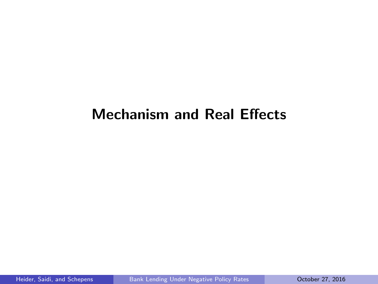### Mechanism and Real Effects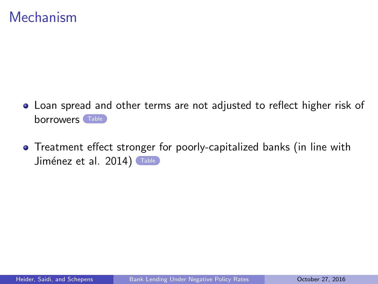### Mechanism

- <span id="page-29-0"></span>Loan spread and other terms are not adjusted to reflect higher risk of borrowers [Table](#page-53-0)
- Treatment effect stronger for poorly-capitalized banks (in line with Jiménez et al. 2014) [Table](#page-55-0)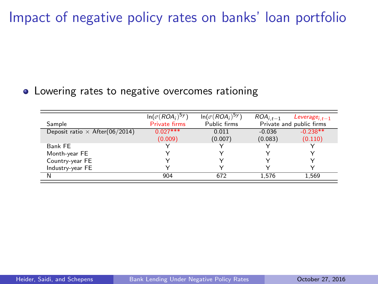Impact of negative policy rates on banks' loan portfolio

#### • Lowering rates to negative overcomes rationing

| Sample                                | $\ln(\sigma(ROA_i)^{5y})$<br><b>Private firms</b> | $\ln(\sigma(ROA_i)^{5y})$<br>Public firms | $ROA_{i,t-1}$ | Leverage <sub>it-1</sub><br>Private and public firms |
|---------------------------------------|---------------------------------------------------|-------------------------------------------|---------------|------------------------------------------------------|
| Deposit ratio $\times$ After(06/2014) | $0.027***$                                        | 0.011                                     | $-0.036$      | $-0.238**$                                           |
|                                       | (0.009)                                           | (0.007)                                   | (0.083)       | (0.110)                                              |
| Bank FE                               |                                                   |                                           |               |                                                      |
| Month-year FE                         |                                                   |                                           |               |                                                      |
| Country-year FE                       |                                                   |                                           |               |                                                      |
| Industry-year FE                      |                                                   |                                           |               |                                                      |
| N                                     | 904                                               | 672                                       | 1.576         | 1,569                                                |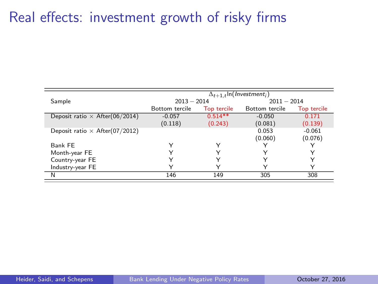### Real effects: investment growth of risky firms

|                                       | $\Delta_{t+1,t}$ In( <i>Investment<sub>i</sub></i> ) |             |                |                    |  |  |  |
|---------------------------------------|------------------------------------------------------|-------------|----------------|--------------------|--|--|--|
| Sample                                | $2013 - 2014$                                        |             | $2011 - 2014$  |                    |  |  |  |
|                                       | Bottom tercile                                       | Top tercile | Bottom tercile | <b>Top tercile</b> |  |  |  |
| Deposit ratio $\times$ After(06/2014) | $-0.057$                                             | $0.514**$   | $-0.050$       | 0.171              |  |  |  |
|                                       | (0.118)                                              | (0.243)     | (0.081)        | (0.139)            |  |  |  |
| Deposit ratio $\times$ After(07/2012) |                                                      |             | 0.053          | $-0.061$           |  |  |  |
|                                       |                                                      |             | (0.060)        | (0.076)            |  |  |  |
| Bank FE                               | ٧                                                    |             |                |                    |  |  |  |
| Month-year FE                         | v                                                    |             |                |                    |  |  |  |
| Country-year FE                       | ◡                                                    |             |                |                    |  |  |  |
| Industry-year FE                      | $\check{ }$                                          |             |                |                    |  |  |  |
| N                                     | 146                                                  | 149         | 305            | 308                |  |  |  |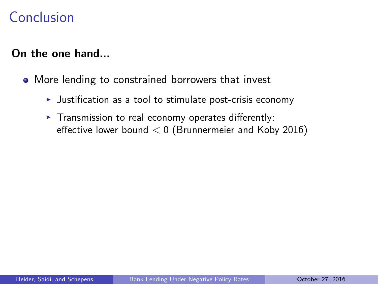### Conclusion

### On the one hand...

- More lending to constrained borrowers that invest
	- $\blacktriangleright$  Justification as a tool to stimulate post-crisis economy
	- $\blacktriangleright$  Transmission to real economy operates differently: effective lower bound  $< 0$  (Brunnermeier and Koby 2016)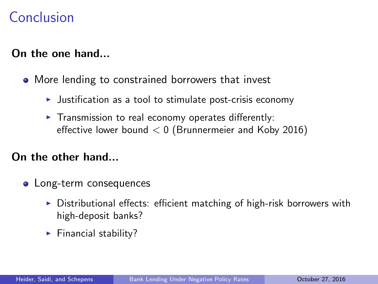### <span id="page-33-0"></span>Conclusion

### On the one hand...

- More lending to constrained borrowers that invest
	- $\blacktriangleright$  Justification as a tool to stimulate post-crisis economy
	- $\blacktriangleright$  Transmission to real economy operates differently: effective lower bound  $< 0$  (Brunnermeier and Koby 2016)

### On the other hand...

- Long-term consequences
	- $\triangleright$  Distributional effects: efficient matching of high-risk borrowers with high-deposit banks?
	- $\blacktriangleright$  Financial stability?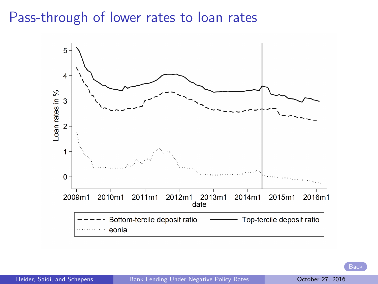### <span id="page-34-0"></span>Pass-through of lower rates to loan rates

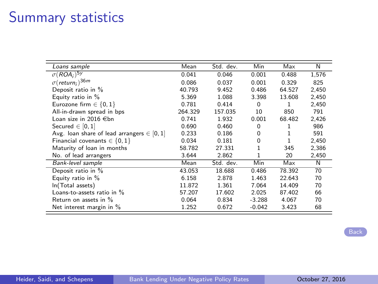# Summary statistics

<span id="page-35-0"></span>

| Loans sample                                   | Mean    | Std. dev. | Min      | Max    | N     |
|------------------------------------------------|---------|-----------|----------|--------|-------|
| $\sigma(ROA_i)^{5y}$                           | 0.041   | 0.046     | 0.001    | 0.488  | 1,576 |
| $\sigma$ (return;) <sup>36m</sup>              | 0.086   | 0.037     | 0.001    | 0.329  | 825   |
| Deposit ratio in %                             | 40.793  | 9.452     | 0.486    | 64.527 | 2.450 |
| Equity ratio in %                              | 5.369   | 1.088     | 3.398    | 13.608 | 2,450 |
| Eurozone firm $\in \{0, 1\}$                   | 0.781   | 0.414     | $\Omega$ | 1      | 2,450 |
| All-in-drawn spread in bps                     | 264.329 | 157.035   | 10       | 850    | 791   |
| Loan size in 2016 €bn                          | 0.741   | 1.932     | 0.001    | 68.482 | 2,426 |
| Secured $\in$ [0, 1]                           | 0.690   | 0.460     | 0        | 1      | 986   |
| Avg. Ioan share of lead arrangers $\in$ [0, 1] | 0.233   | 0.186     | 0        |        | 591   |
| Financial covenants $\in \{0, 1\}$             | 0.034   | 0.181     | 0        |        | 2,450 |
| Maturity of loan in months                     | 58.782  | 27.331    |          | 345    | 2,386 |
| No. of lead arrangers                          | 3.644   | 2.862     |          | 20     | 2,450 |
| Bank-level sample                              | Mean    | Std. dev. | Min      | Max    | N     |
| Deposit ratio in %                             | 43.053  | 18.688    | 0.486    | 78.392 | 70    |
| Equity ratio in %                              | 6.158   | 2.878     | 1.463    | 22.643 | 70    |
| In(Total assets)                               | 11.872  | 1.361     | 7.064    | 14.409 | 70    |
| Loans-to-assets ratio in %                     | 57.207  | 17.602    | 2.025    | 87.402 | 66    |
| Return on assets in %                          | 0.064   | 0.834     | $-3.288$ | 4.067  | 70    |
| Net interest margin in %                       | 1.252   | 0.672     | $-0.042$ | 3.423  | 68    |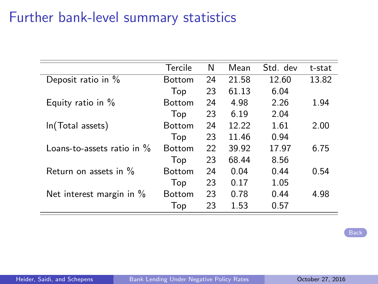### Further bank-level summary statistics

|                               | Tercile       | N  | Mean  | Std. dev | t-stat |
|-------------------------------|---------------|----|-------|----------|--------|
| Deposit ratio in %            | <b>Bottom</b> | 24 | 21.58 | 12.60    | 13.82  |
|                               | Top           | 23 | 61.13 | 6.04     |        |
| Equity ratio in $%$           | <b>Bottom</b> | 24 | 4.98  | 2.26     | 1.94   |
|                               | Top           | 23 | 6.19  | 2.04     |        |
| In(Total assets)              | <b>Bottom</b> | 24 | 12.22 | 1.61     | 2.00   |
|                               | Top           | 23 | 11.46 | 0.94     |        |
| Loans-to-assets ratio in $\%$ | <b>Bottom</b> | 22 | 39.92 | 17.97    | 6.75   |
|                               | Top           | 23 | 68.44 | 8.56     |        |
| Return on assets in %         | <b>Bottom</b> | 24 | 0.04  | 0.44     | 0.54   |
|                               | Top           | 23 | 0.17  | 1.05     |        |
| Net interest margin in %      | <b>Bottom</b> | 23 | 0.78  | 0.44     | 4.98   |
|                               | Top           | 23 | 1.53  | 0.57     |        |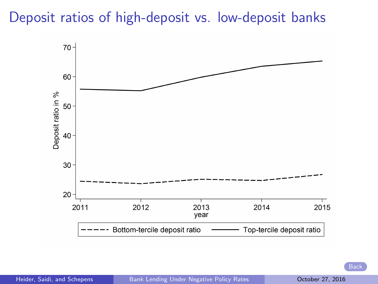### <span id="page-37-0"></span>Deposit ratios of high-deposit vs. low-deposit banks

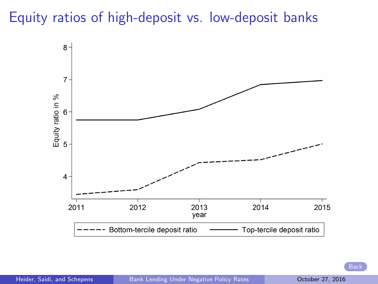# <span id="page-38-0"></span>Equity ratios of high-deposit vs. low-deposit banks

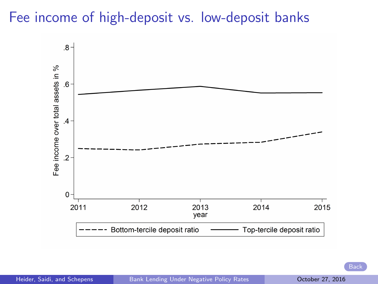### <span id="page-39-0"></span>Fee income of high-deposit vs. low-deposit banks

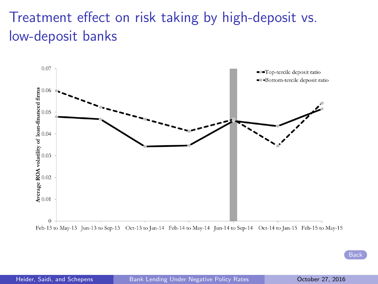# Treatment effect on risk taking by high-deposit vs. low-deposit banks

<span id="page-40-0"></span>

Feb-13 to May-13 Jun-13 to Sep-13 Oct-13 to Jan-14 Feb-14 to May-14 Jun-14 to Sep-14 Oct-14 to Jan-15 Feb-15 to May-15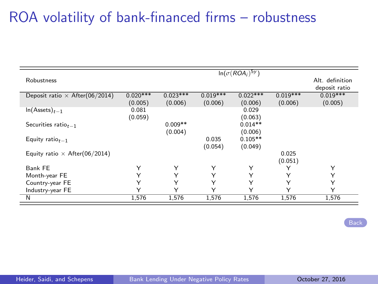# ROA volatility of bank-financed firms – robustness

|                                       |            |            |            | $\ln(\sigma(ROA_i)^{5y})$ |            |                 |
|---------------------------------------|------------|------------|------------|---------------------------|------------|-----------------|
| Robustness                            |            |            |            |                           |            | Alt. definition |
|                                       |            |            |            |                           |            | deposit ratio   |
| Deposit ratio $\times$ After(06/2014) | $0.020***$ | $0.023***$ | $0.019***$ | $0.022***$                | $0.019***$ | $0.019***$      |
|                                       | (0.005)    | (0.006)    | (0.006)    | (0.006)                   | (0.006)    | (0.005)         |
| $ln(A{\text{ssets}})_{t-1}$           | 0.081      |            |            | 0.029                     |            |                 |
|                                       | (0.059)    |            |            | (0.063)                   |            |                 |
| Securities ratio $_{t-1}$             |            | $0.009**$  |            | $0.014**$                 |            |                 |
|                                       |            | (0.004)    |            | (0.006)                   |            |                 |
| Equity ratio $t-1$                    |            |            | 0.035      | $0.105**$                 |            |                 |
|                                       |            |            | (0.054)    | (0.049)                   |            |                 |
| Equity ratio $\times$ After(06/2014)  |            |            |            |                           | 0.025      |                 |
|                                       |            |            |            |                           | (0.051)    |                 |
| Bank FE                               | Υ          | Υ          | Υ          | Υ                         | Υ          | Υ               |
| Month-year FE                         | Υ          | Υ          | Υ          | Υ                         | Υ          | Υ               |
|                                       |            |            |            |                           |            |                 |
| Country-year FE                       | Υ          | Υ          | Υ          | Υ                         | Υ          | Υ               |
| Industry-year FE                      | Y          | Υ          | Υ          | ٧                         | Y          | Υ               |
| N                                     | 1,576      | 1,576      | 1,576      | 1,576                     | 1,576      | 1,576           |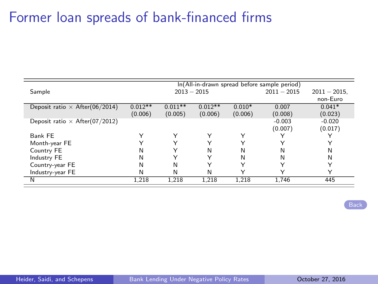### Former loan spreads of bank-financed firms

<span id="page-42-0"></span>

|             |              |             |               | $2011 - 2015$ | $2011 - 2015$ .                              |
|-------------|--------------|-------------|---------------|---------------|----------------------------------------------|
|             |              |             |               |               | non-Euro                                     |
| $0.012**$   | $0.011**$    | $0.012**$   | $0.010*$      | 0.007         | $0.041*$                                     |
| (0.006)     | (0.005)      | (0.006)     | (0.006)       | (0.008)       | (0.023)                                      |
|             |              |             |               | $-0.003$      | $-0.020$                                     |
|             |              |             |               | (0.007)       | (0.017)                                      |
| $\check{ }$ | Υ            | Y           |               |               |                                              |
| $\check{ }$ | $\checkmark$ | v           |               | v             | v                                            |
| N           | $\check{ }$  | N           | N             | N             | N                                            |
| N           | $\checkmark$ | $\check{ }$ | N             | N             | N                                            |
| N           | N            | Y           | Y             | $\check{ }$   | v                                            |
| N           | N            | N           |               | v             | v                                            |
| 1.218       | 1.218        | 1.218       | 1.218         | 1.746         | 445                                          |
|             |              |             | $2013 - 2015$ |               | In(All-in-drawn spread before sample period) |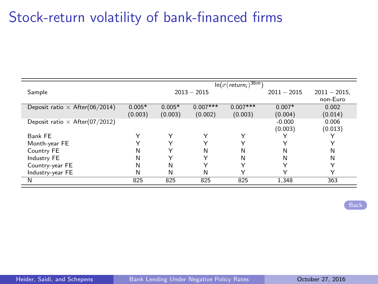## Stock-return volatility of bank-financed firms

<span id="page-43-0"></span>

|                                       |          |              |               | $\ln(\sigma(\textit{return}_i)^{36m})$ |               |                 |
|---------------------------------------|----------|--------------|---------------|----------------------------------------|---------------|-----------------|
| Sample                                |          |              | $2013 - 2015$ |                                        | $2011 - 2015$ | $2011 - 2015$ . |
|                                       |          |              |               |                                        |               | non-Euro        |
| Deposit ratio $\times$ After(06/2014) | $0.005*$ | $0.005*$     | $0.007***$    | $0.007***$                             | $0.007*$      | 0.002           |
|                                       | (0.003)  | (0.003)      | (0.002)       | (0.003)                                | (0.004)       | (0.014)         |
| Deposit ratio $\times$ After(07/2012) |          |              |               |                                        | $-0.000$      | 0.006           |
|                                       |          |              |               |                                        | (0.003)       | (0.013)         |
| Bank FE                               |          | Υ            | Υ             | Υ                                      |               |                 |
| Month-year FE                         |          | $\checkmark$ | $\checkmark$  |                                        |               |                 |
| Country FE                            | N        |              | Ν             | N                                      | N             | Ν               |
| Industry FE                           | N        |              | $\checkmark$  | N                                      | N             | Ν               |
| Country-year FE                       | N        | Ν            |               | $\check{ }$                            |               | $\check{ }$     |
| Industry-year FE                      | N        | N            | Ν             |                                        |               |                 |
| N                                     | 825      | 825          | 825           | 825                                    | 1.348         | 363             |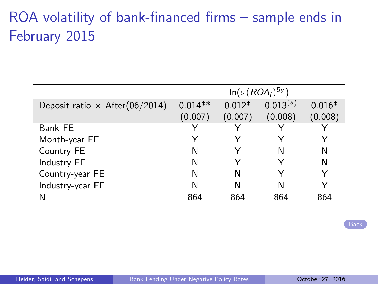# ROA volatility of bank-financed firms – sample ends in February 2015

<span id="page-44-0"></span>

|                                       | $\ln(\sigma(ROA_i)^{5y})$ |          |            |          |  |  |
|---------------------------------------|---------------------------|----------|------------|----------|--|--|
| Deposit ratio $\times$ After(06/2014) | $0.014**$                 | $0.012*$ | $0.013(*)$ | $0.016*$ |  |  |
|                                       | (0.007)                   | (0.007)  | (0.008)    | (0.008)  |  |  |
| Bank FE                               |                           |          |            |          |  |  |
| Month-year FE                         |                           |          |            |          |  |  |
| Country FE                            | N                         |          |            | N        |  |  |
| Industry FE                           | N                         |          |            | N        |  |  |
| Country-year FE                       | N                         | N        |            |          |  |  |
| Industry-year FE                      | N                         | N        |            |          |  |  |
| N                                     | 864                       | 864      | 864        | 864      |  |  |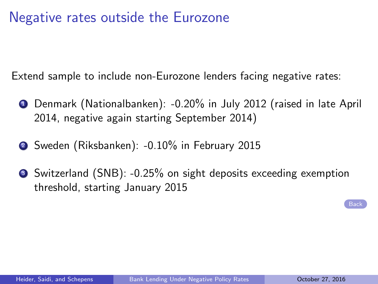### Negative rates outside the Eurozone

<span id="page-45-0"></span>Extend sample to include non-Eurozone lenders facing negative rates:

- **1** Denmark (Nationalbanken): -0.20% in July 2012 (raised in late April 2014, negative again starting September 2014)
- <sup>2</sup> Sweden (Riksbanken): -0.10% in February 2015
- <sup>3</sup> Switzerland (SNB): -0.25% on sight deposits exceeding exemption threshold, starting January 2015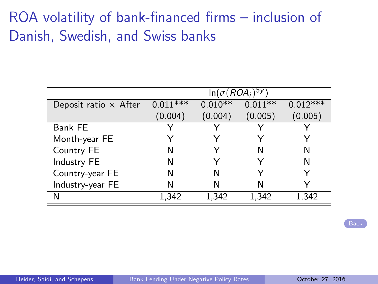# ROA volatility of bank-financed firms – inclusion of Danish, Swedish, and Swiss banks

|                              | $\ln(\sigma(ROA_i)^{5y})$ |           |           |            |  |  |  |
|------------------------------|---------------------------|-----------|-----------|------------|--|--|--|
| Deposit ratio $\times$ After | $0.011***$                | $0.010**$ | $0.011**$ | $0.012***$ |  |  |  |
|                              | (0.004)                   | (0.004)   | (0.005)   | (0.005)    |  |  |  |
| Bank FE                      | ∨                         |           |           |            |  |  |  |
| Month-year FE                |                           |           |           |            |  |  |  |
| Country FE                   | Ν                         |           | N         | N          |  |  |  |
| Industry FE                  | Ν                         |           |           | N          |  |  |  |
| Country-year FE              | N                         | N         |           |            |  |  |  |
| Industry-year FE             | Ν                         | N         | N         |            |  |  |  |
| N                            | 1,342                     | 1,342     | 1,342     | 1,342      |  |  |  |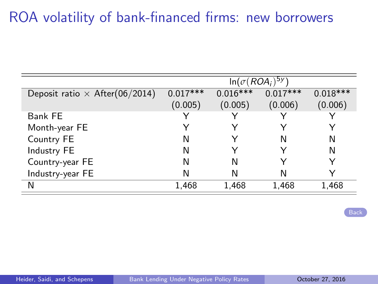# ROA volatility of bank-financed firms: new borrowers

<span id="page-47-0"></span>

|                                       | $\ln(\sigma(ROA_i)^{5y})$ |            |            |            |  |  |
|---------------------------------------|---------------------------|------------|------------|------------|--|--|
| Deposit ratio $\times$ After(06/2014) | $0.017***$                | $0.016***$ | $0.017***$ | $0.018***$ |  |  |
|                                       | (0.005)                   | (0.005)    | (0.006)    | (0.006)    |  |  |
| Bank FE                               |                           |            |            |            |  |  |
| Month-year FE                         |                           |            |            |            |  |  |
| Country FE                            | Ν                         |            | N          | N          |  |  |
| Industry FE                           | Ν                         |            |            | N          |  |  |
| Country-year FE                       | Ν                         | N          |            |            |  |  |
| Industry-year FE                      | Ν                         | N          | N          |            |  |  |
| N                                     | 1,468                     | 1,468      | 1,468      | 1,468      |  |  |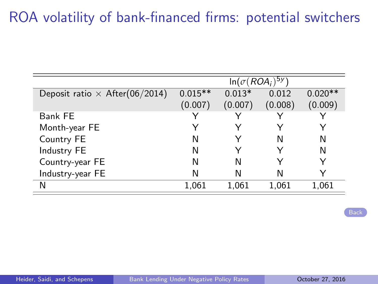# ROA volatility of bank-financed firms: potential switchers

|                                       | $\ln(\sigma(ROA_i)^{5y})$ |          |         |           |  |
|---------------------------------------|---------------------------|----------|---------|-----------|--|
| Deposit ratio $\times$ After(06/2014) | $0.015**$                 | $0.013*$ | 0.012   | $0.020**$ |  |
|                                       | (0.007)                   | (0.007)  | (0.008) | (0.009)   |  |
| Bank FE                               |                           |          |         |           |  |
| Month-year FE                         |                           |          |         |           |  |
| Country FE                            | N                         |          | N       | N         |  |
| Industry FE                           | N                         |          |         | N         |  |
| Country-year FE                       | N                         | N        |         |           |  |
| Industry-year FE                      | N                         | N        | N       |           |  |
| N                                     | 1,061                     | 1,061    | 1,061   | 1.061     |  |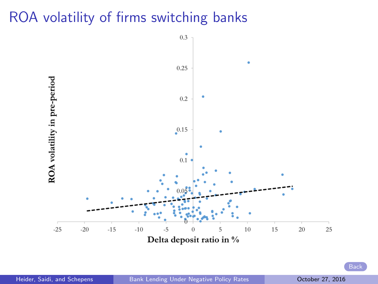### <span id="page-49-0"></span>ROA volatility of firms switching banks



Heider, Saidi, and Schepens [Bank Lending Under Negative Policy Rates](#page-0-0) Cotober 27, 2016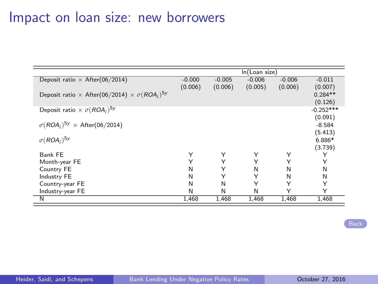### Impact on loan size: new borrowers

<span id="page-50-0"></span>

|                                                                    | In(Loan size) |          |          |          |             |
|--------------------------------------------------------------------|---------------|----------|----------|----------|-------------|
| Deposit ratio $\times$ After(06/2014)                              | $-0.000$      | $-0.005$ | $-0.006$ | $-0.006$ | $-0.011$    |
|                                                                    | (0.006)       | (0.006)  | (0.005)  | (0.006)  | (0.007)     |
| Deposit ratio $\times$ After(06/2014) $\times \sigma (ROA_i)^{5y}$ |               |          |          |          | $0.284**$   |
|                                                                    |               |          |          |          | (0.126)     |
| Deposit ratio $\times \sigma(ROA_i)^{5y}$                          |               |          |          |          | $-0.252***$ |
|                                                                    |               |          |          |          | (0.091)     |
| $\sigma(ROA_i)^{5y} \times$ After(06/2014)                         |               |          |          |          | $-8.584$    |
|                                                                    |               |          |          |          | (5.413)     |
| $\sigma(ROA_i)^{5y}$                                               |               |          |          |          | 6.886*      |
|                                                                    |               |          |          |          | (3.739)     |
| Bank FE                                                            | Υ             | Υ        | Υ        | Υ        |             |
| Month-year FE                                                      |               | Υ        | Υ        | Υ        | Υ           |
| Country FE                                                         | N             | Υ        | N        | N        | N           |
| Industry FE                                                        | N             | Υ        | Υ        | N        | N           |
| Country-year FE                                                    | N             | N        | Υ        | Υ        | Υ           |
| Industry-year FE                                                   | N             | N        | N        | Υ        | Υ           |
| N                                                                  | 1,468         | 1,468    | 1,468    | 1,468    | 1,468       |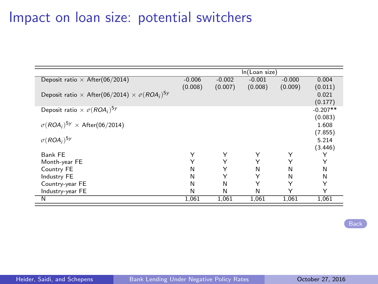### Impact on loan size: potential switchers

|                                                                    | In(Loan size) |          |          |          |            |
|--------------------------------------------------------------------|---------------|----------|----------|----------|------------|
| Deposit ratio $\times$ After(06/2014)                              | $-0.006$      | $-0.002$ | $-0.001$ | $-0.000$ | 0.004      |
|                                                                    | (0.008)       | (0.007)  | (0.008)  | (0.009)  | (0.011)    |
| Deposit ratio $\times$ After(06/2014) $\times \sigma (ROA_i)^{5y}$ |               |          |          |          | 0.021      |
|                                                                    |               |          |          |          | (0.177)    |
| Deposit ratio $\times \sigma(ROA_i)^{5y}$                          |               |          |          |          | $-0.207**$ |
|                                                                    |               |          |          |          | (0.083)    |
| $\sigma(ROA_i)^{5y} \times$ After(06/2014)                         |               |          |          |          | 1.608      |
|                                                                    |               |          |          |          | (7.855)    |
| $\sigma(ROA_i)^{5y}$                                               |               |          |          |          | 5.214      |
|                                                                    |               |          |          |          | (3.446)    |
| Bank FE                                                            | Υ             | Υ        | Υ        | Υ        | Y          |
| Month-year FE                                                      | Υ             | Υ        | Υ        | Υ        | Υ          |
| Country FE                                                         | N             | Υ        | N        | N        | N          |
| Industry FE                                                        | N             | Υ        | Υ        | N        | N          |
| Country-year FE                                                    | N             | N        | Υ        | Υ        | Υ          |
| Industry-year FE                                                   | N             | N        | N        | Υ        | Υ          |
| N                                                                  | 1,061         | 1,061    | 1,061    | 1,061    | 1,061      |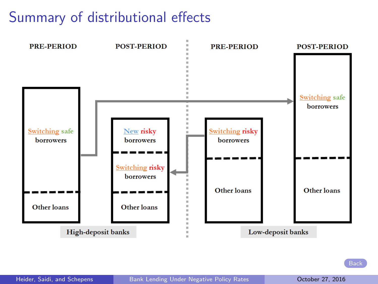# Summary of distributional effects

<span id="page-52-0"></span>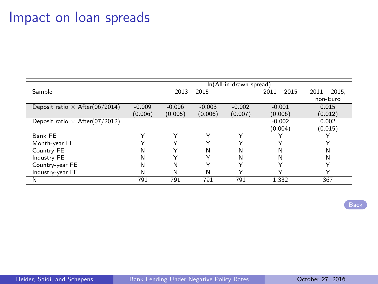### Impact on loan spreads

<span id="page-53-0"></span>

|                                       | In(All-in-drawn spread) |              |             |             |               |                             |
|---------------------------------------|-------------------------|--------------|-------------|-------------|---------------|-----------------------------|
| Sample                                | $2013 - 2015$           |              |             |             | $2011 - 2015$ | $2011 - 2015$ .<br>non-Euro |
|                                       |                         |              |             |             |               |                             |
| Deposit ratio $\times$ After(06/2014) | $-0.009$                | $-0.006$     | $-0.003$    | $-0.002$    | $-0.001$      | 0.015                       |
|                                       | (0.006)                 | (0.005)      | (0.006)     | (0.007)     | (0.006)       | (0.012)                     |
| Deposit ratio $\times$ After(07/2012) |                         |              |             |             | $-0.002$      | 0.002                       |
|                                       |                         |              |             |             | (0.004)       | (0.015)                     |
| Bank FE                               | Υ                       | Υ            | Υ           | Υ           |               |                             |
| Month-year FE                         | $\lambda$               | $\checkmark$ | $\check{ }$ |             | $\checkmark$  | ◡                           |
| Country FE                            | N                       | Υ            | N           | N           | N             | N                           |
| Industry FE                           | N                       | $\check{ }$  | $\check{ }$ | N           | N             | N                           |
| Country-year FE                       | N                       | N            | Υ           | $\check{ }$ | Y             | ◡                           |
| Industry-year FE                      | N                       | N            | N           | Y           | $\checkmark$  | ◡                           |
| $\overline{\mathsf{N}}$               | 791                     | 791          | 791         | 791         | 1.332         | 367                         |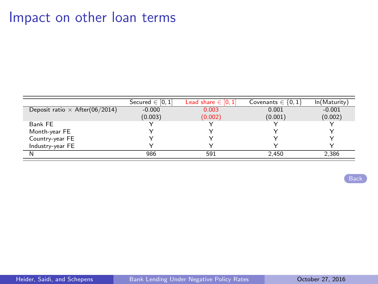### Impact on other loan terms

|                                       | Secured $\in$ [0, 1] | Lead share $\in$ [0, 1] | Covenants $\in \{0,1\}$ | ln(Maturity) |
|---------------------------------------|----------------------|-------------------------|-------------------------|--------------|
| Deposit ratio $\times$ After(06/2014) | $-0.000$             | 0.003                   | 0.001                   | $-0.001$     |
|                                       | (0.003)              | (0.002)                 | (0.001)                 | (0.002)      |
| Bank FE                               |                      |                         |                         |              |
| Month-year FE                         |                      |                         |                         |              |
| Country-year FE                       |                      |                         |                         |              |
| Industry-year FE                      |                      |                         |                         |              |
|                                       | 986                  | 591                     | 2.450                   | 2,386        |